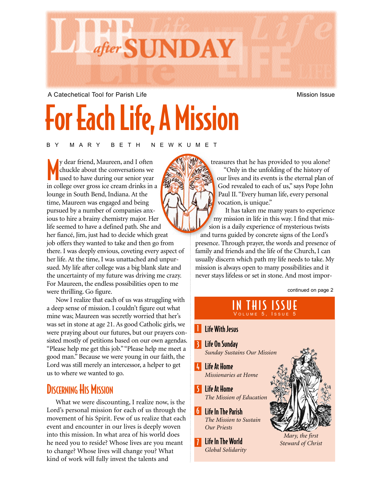

A Catechetical Tool for Parish Life Mission Issue Mission Issue

# For Each Life, A Mission

BY MARY BETH NEWKUMET

M y dear friend, Maureen, and I often chuckle about the conversations we used to have during our senior year in college over gross ice cream drinks in a lounge in South Bend, Indiana. At the time, Maureen was engaged and being pursued by a number of companies anxious to hire a brainy chemistry major. Her life seemed to have a defined path. She and her fiancé, Jim, just had to decide which great job offers they wanted to take and then go from there. I was deeply envious, coveting every aspect of her life. At the time, I was unattached and unpursued. My life after college was a big blank slate and the uncertainty of my future was driving me crazy. For Maureen, the endless possibilities open to me were thrilling. Go figure.

Now I realize that each of us was struggling with a deep sense of mission. I couldn't figure out what mine was; Maureen was secretly worried that her's was set in stone at age 21. As good Catholic girls, we were praying about our futures, but our prayers consisted mostly of petitions based on our own agendas. "Please help me get this job.""Please help me meet a good man." Because we were young in our faith, the Lord was still merely an intercessor, a helper to get us to where we wanted to go.

#### **DISCERNING HIS MISSION**

What we were discounting, I realize now, is the Lord's personal mission for each of us through the movement of his Spirit. Few of us realize that each event and encounter in our lives is deeply woven into this mission. In what area of his world does he need you to reside? Whose lives are you meant to change? Whose lives will change you? What kind of work will fully invest the talents and

treasures that he has provided to you alone? "Only in the unfolding of the history of our lives and its events is the eternal plan of God revealed to each of us," says Pope John Paul II. "Every human life, every personal vocation, is unique."

It has taken me many years to experience my mission in life in this way. I find that mission is a daily experience of mysterious twists and turns guided by concrete signs of the Lord's presence. Through prayer, the words and presence of family and friends and the life of the Church, I can usually discern which path my life needs to take. My mission is always open to many possibilities and it never stays lifeless or set in stone. And most impor-

continued on page 2

#### IN THIS ISSUE VOLUME 5, ISSUE 5

- **I** Life With Jesus 3 Life On Sunday *Sunday Sustains Our Mission*
- 4 Life At Home *Missionaries at Home*
- 5 Life At Home *The Mission of Education*
- 6 Life In The Parish *The Mission to Sustain Our Priests*
- 7 Life In The World *Global Solidarity*



*Steward of Christ*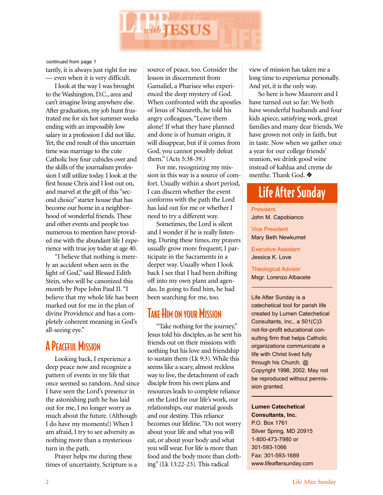

continued from page 1

tantly, it is always just right for me — even when it is very difficult.

I look at the way I was brought to the Washington, D.C., area and can't imagine living anywhere else. After graduation, my job hunt frustrated me for six hot summer weeks ending with an impossibly low salary in a profession I did not like. Yet, the end result of this uncertain time was marriage to the cute Catholic boy four cubicles over and the skills of the journalism profession I still utilize today. I look at the first house Chris and I lost out on, and marvel at the gift of this "second choice" starter house that has become our home in a neighborhood of wonderful friends. These and other events and people too numerous to mention have provided me with the abundant life I experience with true joy today at age 40.

"I believe that nothing is merely an accident when seen in the light of God," said Blessed Edith Stein, who will be canonized this month by Pope John Paul II. "I believe that my whole life has been marked out for me in the plan of divine Providence and has a completely coherent meaning in God's all-seeing eye."

#### **A PEACEFUL MISSION**

Looking back, I experience a deep peace now and recognize a pattern of events in my life that once seemed so random. And since I have seen the Lord's presence in the astonishing path he has laid out for me, I no longer worry as much about the future. (Although I do have my moments!) When I am afraid, I try to see adversity as nothing more than a mysterious turn in the path.

Prayer helps me during these times of uncertainty. Scripture is a source of peace, too. Consider the lesson in discernment from Gamaliel, a Pharisee who experienced the deep mystery of God. When confronted with the apostles of Jesus of Nazareth, he told his angry colleagues, "Leave them alone! If what they have planned and done is of human origin, it will disappear, but if it comes from God, you cannot possibly defeat them." (Acts 5:38-39.)

For me, recognizing my mission in this way is a source of comfort. Usually within a short period, I can discern whether the event conforms with the path the Lord has laid out for me or whether I need to try a different way.

Sometimes, the Lord is silent and I wonder if he is really listening. During these times, my prayers usually grow more frequent; I participate in the Sacraments in a deeper way. Usually when I look back I see that I had been drifting off into my own plans and agendas. In going to find him, he had been searching for me, too.

#### TAKE HIM ON YOUR MISSION

"Take nothing for the journey," Jesus told his disciples, as he sent his friends out on their missions with nothing but his love and friendship to sustain them (Lk 9:3). While this seems like a scary, almost reckless way to live, the detachment of each disciple from his own plans and resources leads to complete reliance on the Lord for our life's work, our relationships, our material goods and our destiny. This reliance becomes our lifeline. "Do not worry about your life and what you will eat, or about your body and what you will wear. For life is more than food and the body more than clothing" (Lk 13:22-23). This radical

view of mission has taken me a long time to experience personally. And yet, it is the only way.

So here is how Maureen and I have turned out so far: We both have wonderful husbands and four kids apiece, satisfying work, great families and many dear friends. We have grown not only in faith, but in taste. Now when we gather once a year for our college friends' reunion, we drink good wine instead of kahlua and creme de menthe. Thank God. ❖

#### Life After Sunday

President John M. Capobianco

Vice President Mary Beth Newkumet

Executive Assistant Jessica K. Love

Theological Advisor Msgr. Lorenzo Albacete

Life After Sunday is a catechetical tool for parish life created by Lumen Catechetical Consultants, Inc., a 501(C)3 not-for-profit educational consulting firm that helps Catholic organizations communicate a life with Christ lived fully through his Church. @ Copyright 1998, 2002. May not be reproduced without permission granted.

**Lumen Catechetical Consultants, Inc.**

P.O. Box 1761 Silver Spring, MD 20915 1-800-473-7980 or 301-593-1066 Fax: 301-593-1689 www.lifeaftersunday.com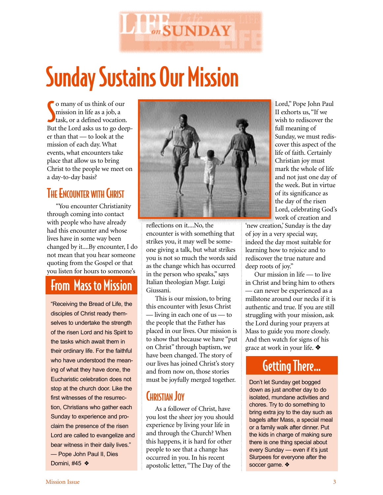

# Sunday Sustains Our Mission

So many of us think of our<br>
mission in life as a job, a<br>
task, or a defined vocation. o many of us think of our mission in life as a job, a But the Lord asks us to go deeper than that — to look at the mission of each day. What events, what encounters take place that allow us to bring Christ to the people we meet on a day-to-day basis?

#### **THE ENCOUNTER WITH CHRIST**

"You encounter Christianity through coming into contact with people who have already had this encounter and whose lives have in some way been changed by it....By encounter, I do not mean that you hear someone quoting from the Gospel or that you listen for hours to someone's

## From Mass to Mission

"Receiving the Bread of Life, the disciples of Christ ready themselves to undertake the strength of the risen Lord and his Spirit to the tasks which await them in their ordinary life. For the faithful who have understood the meaning of what they have done, the Eucharistic celebration does not stop at the church door. Like the first witnesses of the resurrection, Christians who gather each Sunday to experience and proclaim the presence of the risen Lord are called to evangelize and bear witness in their daily lives." — Pope John Paul II, Dies Domini, #45 ❖



reflections on it....No, the encounter is with something that strikes you, it may well be someone giving a talk, but what strikes you is not so much the words said as the change which has occurred in the person who speaks," says Italian theologian Msgr. Luigi Giussani.

This is our mission, to bring this encounter with Jesus Christ — living in each one of us — to the people that the Father has placed in our lives. Our mission is to show that because we have "put on Christ" through baptism, we have been changed. The story of our lives has joined Christ's story and from now on, those stories must be joyfully merged together.

#### CHRISTIAN JOY

As a follower of Christ, have you lost the sheer joy you should experience by living your life in and through the Church? When this happens, it is hard for other people to see that a change has occurred in you. In his recent apostolic letter, "The Day of the

Lord," Pope John Paul II exhorts us, "If we wish to rediscover the full meaning of Sunday, we must rediscover this aspect of the life of faith. Certainly Christian joy must mark the whole of life and not just one day of the week. But in virtue of its significance as the day of the risen Lord, celebrating God's work of creation and

'new creation,' Sunday is the day of joy in a very special way, indeed the day most suitable for learning how to rejoice and to rediscover the true nature and deep roots of joy."

Our mission in life — to live in Christ and bring him to others — can never be experienced as a millstone around our necks if it is authentic and true. If you are still struggling with your mission, ask the Lord during your prayers at Mass to guide you more closely. And then watch for signs of his grace at work in your life. ❖

#### Getting There…

Don't let Sunday get bogged down as just another day to do isolated, mundane activities and chores. Try to do something to bring extra joy to the day such as bagels after Mass, a special meal or a family walk after dinner. Put the kids in charge of making sure there is one thing special about every Sunday — even if it's just Slurpees for everyone after the soccer game. ❖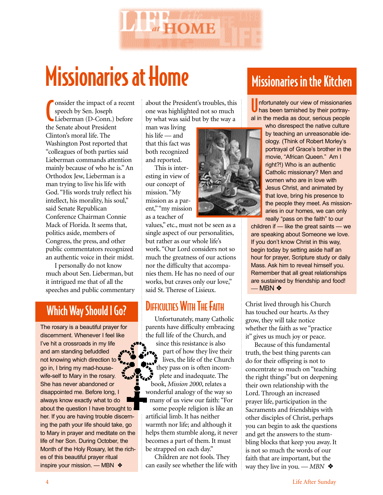

## Missionaries at Home

Consider the impact of a<br>
speech by Sen. Joseph<br>
Lieberman (D-Conn.)<br>
the Senate about President onsider the impact of a recent speech by Sen. Joseph Lieberman (D-Conn.) before Clinton's moral life. The Washington Post reported that "colleagues of both parties said Lieberman commands attention mainly because of who he is." An Orthodox Jew, Lieberman is a man trying to live his life with God. "His words truly reflect his intellect, his morality, his soul," said Senate Republican Conference Chairman Connie Mack of Florida. It seems that, politics aside, members of Congress, the press, and other public commentators recognized an authentic voice in their midst.

I personally do not know much about Sen. Lieberman, but it intrigued me that of all the speeches and public commentary

#### Which Way Should I Go?

The rosary is a beautiful prayer for discernment. Whenever I feel like I've hit a crossroads in my life and am standing befuddled not knowing which direction to go in, I bring my mad-housewife-self to Mary in the rosary. She has never abandoned or disappointed me. Before long, I always know exactly what to do about the question I have brought to her. If you are having trouble discerning the path your life should take, go to Mary in prayer and meditate on the life of her Son. During October, the Month of the Holy Rosary, let the riches of this beautiful prayer ritual inspire your mission. — MBN ❖

about the President's troubles, this one was highlighted not so much by what was said but by the way a

man was living his life — and that this fact was both recognized and reported.

This is interesting in view of our concept of mission. "My mission as a parent," "my mission as a teacher of

values," etc., must not be seen as a single aspect of our personalities, but rather as our whole life's work. "Our Lord considers not so much the greatness of our actions nor the difficulty that accompanies them. He has no need of our works, but craves only our love," said St. Therese of Lisieux.

#### DIFFICULTIES WITH THE FAITH

Unfortunately, many Catholic parents have difficulty embracing the full life of the Church, and since this resistance is also  $\bullet$  part of how they live their lives, the life of the Church they pass on is often incomplete and inadequate. The book, *Mission 2000*, relates a wonderful analogy of the way so many of us view our faith: "For

some people religion is like an artificial limb. It has neither warmth nor life; and although it helps them stumble along, it never becomes a part of them. It must be strapped on each day."

Children are not fools. They can easily see whether the life with

## Missionaries in the Kitchen

U nfortunately our view of missionaries has been tarnished by their portrayal in the media as dour, serious people

> who disrespect the native culture by teaching an unreasonable ideology. (Think of Robert Morley's portrayal of Grace's brother in the movie, "African Queen." Am I right?!) Who is an authentic Catholic missionary? Men and women who are in love with Jesus Christ, and animated by that love, bring his presence to the people they meet. As missionaries in our homes, we can only really "pass on the faith" to our

children if — like the great saints — we are speaking about Someone we love. If you don't know Christ in this way, begin today by setting aside half an hour for prayer, Scripture study or daily Mass. Ask him to reveal himself you. Remember that all great relationships are sustained by friendship and food! *—* MBN ❖

Christ lived through his Church has touched our hearts. As they grow, they will take notice whether the faith as we "practice it" gives us much joy or peace.

Because of this fundamental truth, the best thing parents can do for their offspring is not to concentrate so much on "teaching the right things" but on deepening their own relationship with the Lord. Through an increased prayer life, participation in the Sacraments and friendships with other disciples of Christ, perhaps you can begin to ask the questions and get the answers to the stumbling blocks that keep you away. It is not so much the words of our faith that are important, but the way they live in you. *— MBN* ❖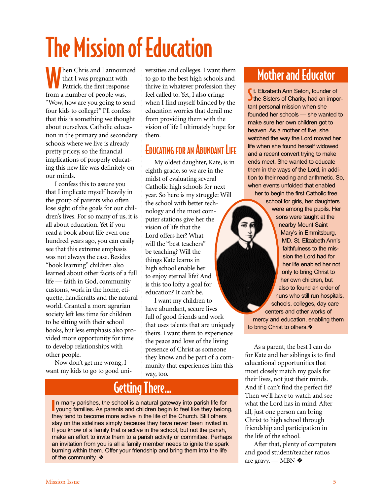# The Mission of Education

When Chris and I announced<br>that I was pregnant with<br>Patrick, the first response that I was pregnant with Patrick, the first response from a number of people was, "Wow, how are you going to send four kids to college?" I'll confess that this is something we thought about ourselves. Catholic education in the primary and secondary schools where we live is already pretty pricey, so the financial implications of properly educating this new life was definitely on our minds.

I confess this to assure you that I implicate myself heavily in the group of parents who often lose sight of the goals for our children's lives. For so many of us, it is all about education. Yet if you read a book about life even one hundred years ago, you can easily see that this extreme emphasis was not always the case. Besides "book learning" children also learned about other facets of a full life — faith in God, community customs, work in the home, etiquette, handicrafts and the natural world. Granted a more agrarian society left less time for children to be sitting with their school books, but less emphasis also provided more opportunity for time to develop relationships with other people.

Now don't get me wrong, I want my kids to go to good uni-

versities and colleges. I want them to go to the best high schools and thrive in whatever profession they feel called to. Yet, I also cringe when I find myself blinded by the education worries that derail me from providing them with the vision of life I ultimately hope for them.

#### EDUCATING FOR AN ABUNDANT LIFE

My oldest daughter, Kate, is in eighth grade, so we are in the midst of evaluating several Catholic high schools for next year. So here is my struggle: Will the school with better technology and the most computer stations give her the vision of life that the Lord offers her? What will the "best teachers" be teaching? Will the things Kate learns in high school enable her to enjoy eternal life? And is this too lofty a goal for education? It can't be.

I want my children to have abundant, secure lives full of good friends and work that uses talents that are uniquely theirs. I want them to experience the peace and love of the living presence of Christ as someone they know, and be part of a community that experiences him this way, too.

#### Getting There…

In many parishes, the school is a natural gateway into parish life for young families. As parents and children begin to feel like they belong, In many parishes, the school is a natural gateway into parish life for they tend to become more active in the life of the Church. Still others stay on the sidelines simply because they have never been invited in. If you know of a family that is active in the school, but not the parish, make an effort to invite them to a parish activity or committee. Perhaps an invitation from you is all a family member needs to ignite the spark burning within them. Offer your friendship and bring them into the life of the community. ❖

#### Mother and Educator

**S**t. Elizabeth Ann Seton, founder of<br>Sthe Sisters of Charity, had an import. Elizabeth Ann Seton, founder of tant personal mission when she founded her schools — she wanted to make sure her own children got to heaven. As a mother of five, she watched the way the Lord moved her life when she found herself widowed and a recent convert trying to make ends meet. She wanted to educate them in the ways of the Lord, in addition to their reading and arithmetic. So, when events unfolded that enabled

her to begin the first Catholic free school for girls, her daughters were among the pupils. Her sons were taught at the nearby Mount Saint Mary's in Emmitsburg, MD. St. Elizabeth Ann's faithfulness to the mission the Lord had for her life enabled her not only to bring Christ to her own children, but also to found an order of nuns who still run hospitals, schools, colleges, day care centers and other works of mercy and education, enabling them to bring Christ to others.❖

As a parent, the best I can do for Kate and her siblings is to find educational opportunities that most closely match my goals for their lives, not just their minds. And if I can't find the perfect fit? Then we'll have to watch and see what the Lord has in mind. After all, just one person can bring Christ to high school through friendship and participation in the life of the school.

After that, plenty of computers and good student/teacher ratios are gravy. — MBN ❖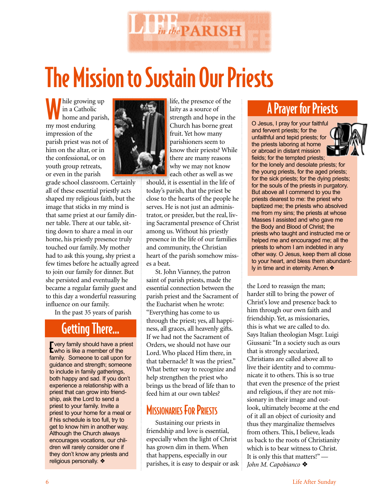

## The Mission to Sustain Our Priests

hile growing up in a Catholic home and parish, my most enduring impression of the parish priest was not of him on the altar, or in the confessional, or on youth group retreats, or even in the parish

grade school classroom. Certainly all of these essential priestly acts shaped my religious faith, but the image that sticks in my mind is that same priest at our family dinner table. There at our table, sitting down to share a meal in our home, his priestly presence truly touched our family. My mother had to ask this young, shy priest a few times before he actually agreed to join our family for dinner. But she persisted and eventually he became a regular family guest and to this day a wonderful reassuring influence on our family.

In the past 35 years of parish

## Getting There…

**The art of the Should have a propendiffully**<br>**E** who is like a member of the **T** very family should have a priest family. Someone to call upon for guidance and strength; someone to include in family gatherings, both happy and sad. If you don't experience a relationship with a priest that can grow into friendship, ask the Lord to send a priest to your family. Invite a priest to your home for a meal or if his schedule is too full, try to get to know him in another way. Although the Church always encourages vocations, our children will rarely consider one if they don't know any priests and religious personally. ❖



life, the presence of the laity as a source of strength and hope in the Church has borne great fruit. Yet how many parishioners seem to know their priests? While there are many reasons why we may not know each other as well as we

should, it is essential in the life of today's parish, that the priest be close to the hearts of the people he serves. He is not just an administrator, or presider, but the real, living Sacramental presence of Christ among us. Without his priestly presence in the life of our families and community, the Christian heart of the parish somehow misses a beat.

St. John Vianney, the patron saint of parish priests, made the essential connection between the parish priest and the Sacrament of the Eucharist when he wrote: "Everything has come to us through the priest; yes, all happiness, all graces, all heavenly gifts. If we had not the Sacrament of Orders, we should not have our Lord. Who placed Him there, in that tabernacle? It was the priest." What better way to recognize and help strengthen the priest who brings us the bread of life than to feed him at our own tables?

#### **MISSIONARIES FOR PRIESTS**

Sustaining our priests in friendship and love is essential, especially when the light of Christ has grown dim in them. When that happens, especially in our parishes, it is easy to despair or ask

#### A Prayer for Priests

O Jesus, I pray for your faithful and fervent priests; for the unfaithful and tepid priests; for the priests laboring at home or abroad in distant mission fields; for the tempted priests;



for the lonely and desolate priests; for the young priests, for the aged priests; for the sick priests; for the dying priests; for the souls of the priests in purgatory. But above all I commend to you the priests dearest to me: the priest who baptized me; the priests who absolved me from my sins; the priests at whose Masses I assisted and who gave me the Body and Blood of Christ; the priests who taught and instructed me or helped me and encouraged me; all the priests to whom I am indebted in any other way. O Jesus, keep them all close to your heart, and bless them abundantly in time and in eternity. Amen.❖

the Lord to reassign the man; harder still to bring the power of Christ's love and presence back to him through our own faith and friendship. Yet, as missionaries, this is what we are called to do. Says Italian theologian Msgr. Luigi Giussani: "In a society such as ours that is strongly secularized, Christians are called above all to live their identity and to communicate it to others. This is so true that even the presence of the priest and religious, if they are not missionary in their image and outlook, ultimately become at the end of it all an object of curiosity and thus they marginalize themselves from others. This, I believe, leads us back to the roots of Christianity which is to bear witness to Christ. It is only this that matters!"*— John M. Capobianco* ❖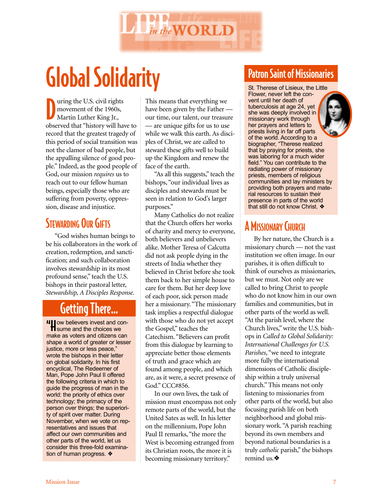

## Global Solidarity

D uring the U.S. civil rights movement of the 1960s, Martin Luther King Jr., observed that "history will have to record that the greatest tragedy of this period of social transition was not the clamor of bad people, but the appalling silence of good people." Indeed, as the good people of God, our mission *requires* us to reach out to our fellow human beings, especially those who are suffering from poverty, oppression, disease and injustice.

#### STEWARDING OUR GIFTS

"God wishes human beings to be his collaborators in the work of creation, redemption, and sanctification; and such collaboration involves stewardship in its most profound sense," teach the U.S. bishops in their pastoral letter, *Stewardship, A Disciples Response*.

## Getting There…

"How believers invest and con-sume and the choices we make as voters and citizens can shape a world of greater or lesser justice, more or less peace," wrote the bishops in their letter on global solidarity. In his first encyclical, The Redeemer of Man, Pope John Paul II offered the following criteria in which to guide the progress of man in the world: the priority of ethics over technology; the primacy of the person over things; the superiority of spirit over matter. During November, when we vote on representatives and issues that affect our own communities and other parts of the world, let us consider this three-fold examination of human progress. ❖

This means that everything we have been given by the Father our time, our talent, our treasure — are unique gifts for us to use while we walk this earth. As disciples of Christ, we are called to steward these gifts well to build up the Kingdom and renew the face of the earth.

"As all this suggests," teach the bishops, "our individual lives as disciples and stewards must be seen in relation to God's larger purposes."

Many Catholics do not realize that the Church offers her works of charity and mercy to everyone, both believers and unbelievers alike. Mother Teresa of Calcutta did not ask people dying in the streets of India whether they believed in Christ before she took them back to her simple house to care for them. But her deep love of each poor, sick person made her a missionary. "The missionary task implies a respectful dialogue with those who do not yet accept the Gospel," teaches the Catechism. "Believers can profit from this dialogue by learning to appreciate better those elements of truth and grace which are found among people, and which are, as it were, a secret presence of God." CCC#856.

In our own lives, the task of mission must encompass not only remote parts of the world, but the United Sates as well. In his letter on the millennium, Pope John Paul II remarks, "the more the West is becoming estranged from its Christian roots, the more it is becoming missionary territory."

#### Patron Saint of Missionaries

St. Therese of Lisieux, the Little Flower, never left the convent until her death of tuberculosis at age 24, yet she was deeply involved in missionary work through her prayers and letters to priests living in far off parts of the world. According to a biographer, "Therese realized that by praying for priests, she was laboring for a much wider field." You can contribute to the radiating power of missionary priests, members of religious communities and lay ministers by providing both prayers and material resources to sustain their presence in parts of the world that still do not know Christ. ❖

#### A MISSIONARY CHURCH

By her nature, the Church is a missionary church — not the vast institution we often image. In our parishes, it is often difficult to think of ourselves as missionaries, but we must. Not only are we called to bring Christ to people who do not know him in our own families and communities, but in other parts of the world as well. "At the parish level, where the Church lives," write the U.S. bishops in *Called to Global Solidarity: International Challenges for U.S. Parishes*, "we need to integrate more fully the international dimensions of Catholic discipleship within a truly universal church." This means not only listening to missionaries from other parts of the world, but also focusing parish life on both neighborhood and global missionary work. "A parish reaching beyond its own members and beyond national boundaries is a truly *catholic* parish," the bishops remind us.❖